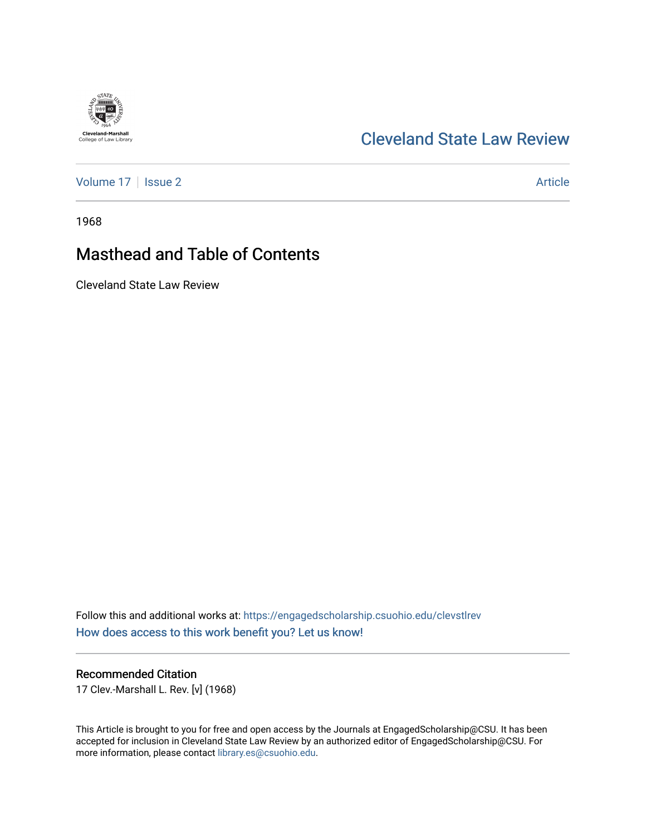# [Cleveland State Law Review](https://engagedscholarship.csuohio.edu/clevstlrev)

[Volume 17](https://engagedscholarship.csuohio.edu/clevstlrev/vol17) | [Issue 2](https://engagedscholarship.csuohio.edu/clevstlrev/vol17/iss2) Article

1968

**Cleveland-Marshall**<br>College of Law Library

# Masthead and Table of Contents

Cleveland State Law Review

Follow this and additional works at: [https://engagedscholarship.csuohio.edu/clevstlrev](https://engagedscholarship.csuohio.edu/clevstlrev?utm_source=engagedscholarship.csuohio.edu%2Fclevstlrev%2Fvol17%2Fiss2%2F2&utm_medium=PDF&utm_campaign=PDFCoverPages) [How does access to this work benefit you? Let us know!](http://library.csuohio.edu/engaged/)

## Recommended Citation

17 Clev.-Marshall L. Rev. [v] (1968)

This Article is brought to you for free and open access by the Journals at EngagedScholarship@CSU. It has been accepted for inclusion in Cleveland State Law Review by an authorized editor of EngagedScholarship@CSU. For more information, please contact [library.es@csuohio.edu](mailto:library.es@csuohio.edu).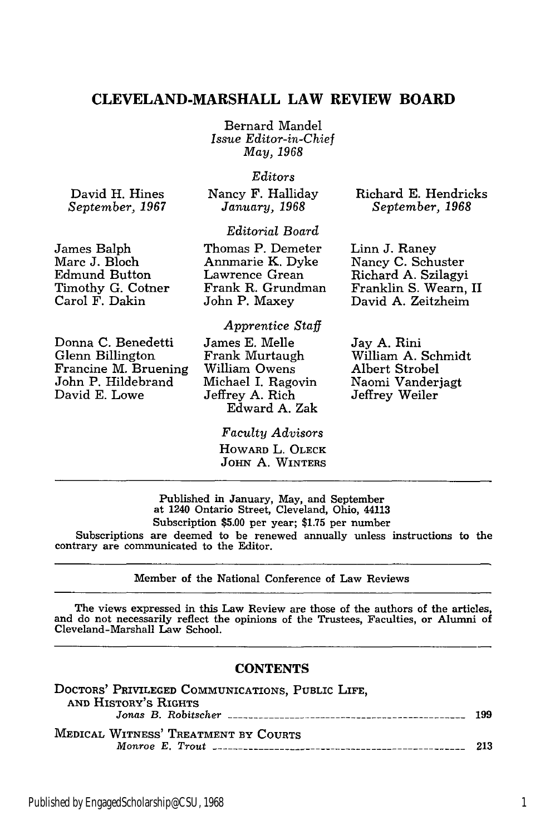## **CLEVELAND-MARSHALL LAW REVIEW BOARD**

Bernard Mandel *Issue Editor-in-Chief May, 1968*

### *Editors*

*Editorial Board*

David H. Hines *September, 1967* Nancy F. Halliday January, 1968

Richard E. Hendricks *September, 1968*

### James Balph Marc J. Bloch Edmund Button Timothy G. Cotner Carol F. Dakin

Thomas P. Demeter Annmarie K. Dyke Lawrence Grean Frank R. Grundman John P. Maxey

## *Apprentice Staff*

Donna C. Benedetti Glenn Billington Francine M. Bruening John P. Hildebrand David E. Lowe

James E. Melle Frank Murtaugh William Owens Michael I. Ragovin Jeffrey A. Rich Edward A. Zak

## Linn J. Raney Nancy C. Schuster Richard A. Szilagyi Franklin S. Wearn, II

Jay A. Rini William A. Schmidt Albert Strobel Naomi Vanderjagt Jeffrey Weiler

David A. Zeitzheim

### *Faculty Advisors*

**HOWARD** L. OLECK JOHN **A.** WINTERS

## Published in January, May, and September at 1240 Ontario Street, Cleveland, Ohio, 44113 Subscription **\$5.00** per year; \$1.75 per number Subscriptions are deemed to be renewed annually unless instructions to the contrary are communicated to the Editor.

#### Member of the National Conference of Law Reviews

The views expressed in this Law Review are those of the authors of the articles, and do not necessarily reflect the opinions of the Trustees, Faculties, or Alumni of Cleveland-Marshall Law School.

#### **CONTENTS**

| DOCTORS' PRIVILEGED COMMUNICATIONS, PUBLIC LIFE, |     |
|--------------------------------------------------|-----|
| AND HISTORY'S RIGHTS                             |     |
|                                                  | 199 |
| <b>MEDICAL WITNESS' TREATMENT BY COURTS</b>      | 213 |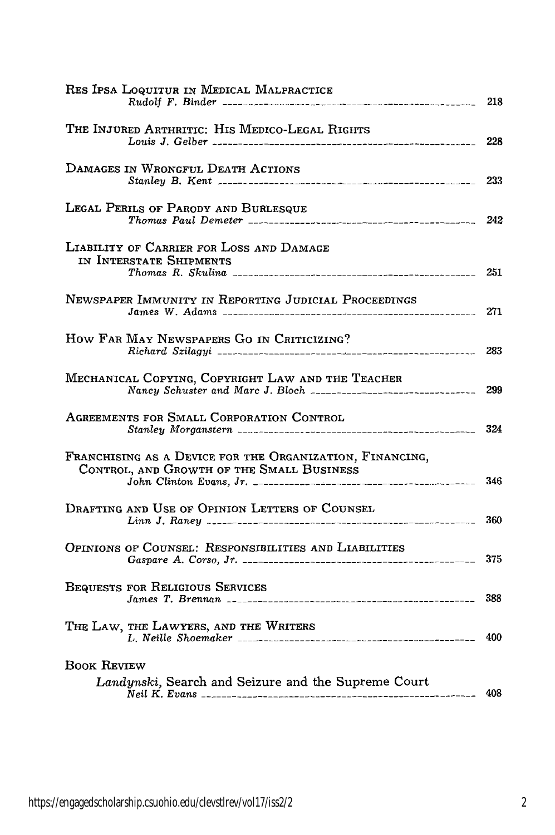| RES IPSA LOQUITUR IN MEDICAL MALPRACTICE                                                                             | 218 |
|----------------------------------------------------------------------------------------------------------------------|-----|
| THE INJURED ARTHRITIC: HIS MEDICO-LEGAL RIGHTS                                                                       | 228 |
| DAMAGES IN WRONGFUL DEATH ACTIONS                                                                                    | 233 |
| LEGAL PERILS OF PARODY AND BURLESQUE                                                                                 | 242 |
| LIABILITY OF CARRIER FOR LOSS AND DAMAGE<br>in Interstate Shipments                                                  | 251 |
| NEWSPAPER IMMUNITY IN REPORTING JUDICIAL PROCEEDINGS                                                                 | 271 |
| HOW FAR MAY NEWSPAPERS GO IN CRITICIZING?                                                                            | 283 |
| MECHANICAL COPYING, COPYRIGHT LAW AND THE TEACHER                                                                    | 299 |
| AGREEMENTS FOR SMALL CORPORATION CONTROL                                                                             | 324 |
| FRANCHISING AS A DEVICE FOR THE ORGANIZATION, FINANCING,<br>CONTROL, AND GROWTH OF THE SMALL BUSINESS                | 346 |
| Drafting and Use of Opinion Letters of Counsel                                                                       | 360 |
| OPINIONS OF COUNSEL: RESPONSIBILITIES AND LIABILITIES                                                                | 375 |
| BEQUESTS FOR RELIGIOUS SERVICES                                                                                      | 388 |
| THE LAW, THE LAWYERS, AND THE WRITERS                                                                                | 400 |
| <b>BOOK REVIEW</b><br>Landynski, Search and Seizure and the Supreme Court<br>Neil K. Evans _________________________ | 408 |
|                                                                                                                      |     |